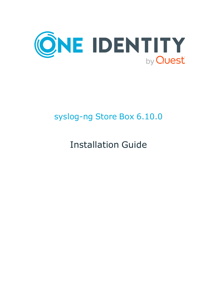

# syslog-ng Store Box 6.10.0

Installation Guide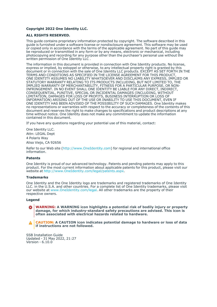#### **Copyright 2022 One Identity LLC.**

#### **ALL RIGHTS RESERVED.**

This guide contains proprietary information protected by copyright. The software described in this guide is furnished under a software license or nondisclosure agreement. This software may be used or copied only in accordance with the terms of the applicable agreement. No part of this guide may be reproduced or transmitted in any form or by any means, electronic or mechanical, including photocopying and recording for any purpose other than the purchaser's personal use without the written permission of One Identity LLC .

The information in this document is provided in connection with One Identity products. No license, express or implied, by estoppel or otherwise, to any intellectual property right is granted by this document or in connection with the sale of One Identity LLC products. EXCEPT AS SET FORTH IN THE TERMS AND CONDITIONS AS SPECIFIED IN THE LICENSE AGREEMENT FOR THIS PRODUCT, ONE IDENTITY ASSUMES NO LIABILITY WHATSOEVER AND DISCLAIMS ANY EXPRESS, IMPLIED OR STATUTORY WARRANTY RELATING TO ITS PRODUCTS INCLUDING, BUT NOT LIMITED TO, THE IMPLIED WARRANTY OF MERCHANTABILITY, FITNESS FOR A PARTICULAR PURPOSE, OR NON-INFRINGEMENT. IN NO EVENT SHALL ONE IDENTITY BE LIABLE FOR ANY DIRECT, INDIRECT, CONSEQUENTIAL, PUNITIVE, SPECIAL OR INCIDENTAL DAMAGES (INCLUDING, WITHOUT LIMITATION, DAMAGES FOR LOSS OF PROFITS, BUSINESS INTERRUPTION OR LOSS OF INFORMATION) ARISING OUT OF THE USE OR INABILITY TO USE THIS DOCUMENT, EVEN IF ONE IDENTITY HAS BEEN ADVISED OF THE POSSIBILITY OF SUCH DAMAGES. One Identity makes no representations or warranties with respect to the accuracy or completeness of the contents of this document and reserves the right to make changes to specifications and product descriptions at any time without notice. One Identity does not make any commitment to update the information contained in this document.

If you have any questions regarding your potential use of this material, contact:

One Identity LLC. Attn: LEGAL Dept 4 Polaris Way Aliso Viejo, CA 92656

Refer to our Web site [\(http://www.OneIdentity.com](http://www.oneidentity.com/)) for regional and international office information.

#### **Patents**

One Identity is proud of our advanced technology. Patents and pending patents may apply to this product. For the most current information about applicable patents for this product, please visit our website at [http://www.OneIdentity.com/legal/patents.aspx.](http://www.oneidentity.com/legal/patents.aspx)

#### **Trademarks**

One Identity and the One Identity logo are trademarks and registered trademarks of One Identity LLC. in the U.S.A. and other countries. For a complete list of One Identity trademarks, please visit our website at [www.OneIdentity.com/legal](http://www.oneidentity.com/legal). All other trademarks are the property of their respective owners.

#### **Legend**

**WARNING: A WARNING icon highlights a potential risk of bodily injury or property** œ **damage, for which industry-standard safety precautions are advised. This icon is often associated with electrical hazards related to hardware.**

**CAUTION: A CAUTION icon indicates potential damage to hardware or loss of data if instructions are not followed.**

SSB Installation Guide Updated - 31 May 2022, 21:27 Version - 6.10.0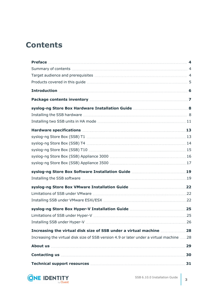## **Contents**

| Package contents inventory manufactured and a content of the content of the content of the content of the content of the content of the content of the content of the content of the content of the content of the content of                                                                  |     |
|------------------------------------------------------------------------------------------------------------------------------------------------------------------------------------------------------------------------------------------------------------------------------------------------|-----|
|                                                                                                                                                                                                                                                                                                |     |
|                                                                                                                                                                                                                                                                                                |     |
|                                                                                                                                                                                                                                                                                                |     |
|                                                                                                                                                                                                                                                                                                |     |
|                                                                                                                                                                                                                                                                                                |     |
|                                                                                                                                                                                                                                                                                                |     |
|                                                                                                                                                                                                                                                                                                |     |
|                                                                                                                                                                                                                                                                                                |     |
|                                                                                                                                                                                                                                                                                                |     |
|                                                                                                                                                                                                                                                                                                |     |
|                                                                                                                                                                                                                                                                                                |     |
|                                                                                                                                                                                                                                                                                                |     |
|                                                                                                                                                                                                                                                                                                |     |
|                                                                                                                                                                                                                                                                                                |     |
|                                                                                                                                                                                                                                                                                                |     |
|                                                                                                                                                                                                                                                                                                |     |
|                                                                                                                                                                                                                                                                                                |     |
| Increasing the virtual disk size of SSB under a virtual machine 28                                                                                                                                                                                                                             |     |
| Increasing the virtual disk size of SSB version 4.9 or later under a virtual machine 28                                                                                                                                                                                                        |     |
|                                                                                                                                                                                                                                                                                                | 29  |
| Contacting us <b>contacting</b> us <b>contacting</b> us <b>contacting</b> us <b>contacting</b> us <b>contacting</b> us <b>contacting</b> us <b>contacting</b> us <b>contacting</b> us <b>contacting</b> us <b>contacting</b> us <b>contacting</b> us <b>contacting</b> us <b>contacting</b> us | .30 |
| Technical support resources <b>Manual Strategie and Strategie and Strategie and Strategie and Strategie and Strategie and Strategie and Strategie and Strategie and Strategie and Strategie and Strategie and Strategie and Stra</b>                                                           |     |

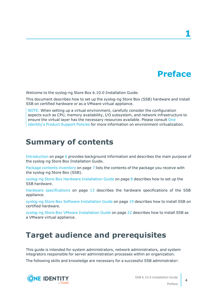## **Preface**

**1**

<span id="page-3-0"></span>Welcome to the syslog-ng Store Box 6.10.0 Installation Guide.

This document describes how to set up the syslog-ng Store Box (SSB) hardware and install SSB on certified hardware or as a VMware virtual appliance.

NOTE: When setting up a virtual environment, carefully consider the configuration aspects such as CPU, memory availability, I/O subsystem, and network infrastructure to ensure the virtual layer has the necessary resources available. Please consult [One](https://support.oneidentity.com/essentials/support-guide#tab3) [Identity's](https://support.oneidentity.com/essentials/support-guide#tab3) Product Support Policies for more information on environment virtualization.

### <span id="page-3-1"></span>**Summary of contents**

[Introduction](#page-5-0) on page 6 provides background information and describes the main purpose of the syslog-ng Store Box Installation Guide.

Package contents [inventory](#page-6-0) on page 7 lists the contents of the package you receive with the syslog-ng Store Box (SSB).

syslog-ng Store Box Hardware [Installation](#page-7-0) Guide on page 8 describes how to set up the SSB hardware.

Hardware [specifications](#page-12-0) on page 13 describes the hardware specifications of the SSB appliance.

syslog-ng Store Box Software [Installation](#page-18-0) Guide on page 19 describes how to install SSB on certified hardware.

syslog-ng Store Box VMware [Installation](#page-21-0) Guide on page 22 describes how to install SSB as a VMware virtual appliance.

### <span id="page-3-2"></span>**Target audience and prerequisites**

This guide is intended for system administrators, network administrators, and system integrators responsible for server administration processes within an organization.

The following skills and knowledge are necessary for a successful SSB administrator:



SSB 6.10.0 Installation Guide

**4**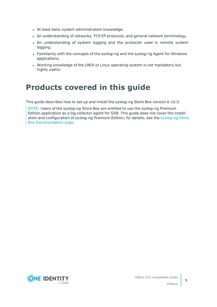- At least basic system administration knowledge.
- An understanding of networks, TCP/IP protocols, and general network terminology.
- An understanding of system logging and the protocols used in remote system logging.
- Familiarity with the concepts of the syslog-ng and the syslog-ng Agent for Windows applications.
- Working knowledge of the UNIX or Linux operating system is not mandatory but highly useful.

### <span id="page-4-0"></span>**Products covered in this guide**

This guide describes how to set up and install the syslog-ng Store Box version 6.10.0.

NOTE: Users of the syslog-ng Store Box are entitled to use the syslog-ng Premium Edition application as a log collector agent for SSB. This guide does not cover the installation and configuration of syslog-ng Premium Edition, for details, see the [syslog-ng](https://support.oneidentity.com/syslog-ng-store-box/technical-documents) Store Box [Documentation](https://support.oneidentity.com/syslog-ng-store-box/technical-documents) page.



Preface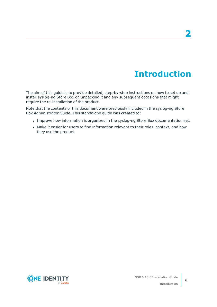## **Introduction**

<span id="page-5-0"></span>The aim of this guide is to provide detailed, step-by-step instructions on how to set up and install syslog-ng Store Box on unpacking it and any subsequent occasions that might require the re-installation of the product.

Note that the contents of this document were previously included in the syslog-ng Store Box Administrator Guide. This standalone guide was created to:

- Improve how information is organized in the syslog-ng Store Box documentation set.
- Make it easier for users to find information relevant to their roles, context, and how they use the product.

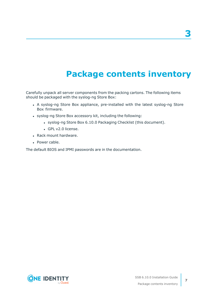## **Package contents inventory**

<span id="page-6-0"></span>Carefully unpack all server components from the packing cartons. The following items should be packaged with the syslog-ng Store Box:

- A syslog-ng Store Box appliance, pre-installed with the latest syslog-ng Store Box firmware.
- syslog-ng Store Box accessory kit, including the following:
	- syslog-ng Store Box 6.10.0 Packaging Checklist (this document).
	- GPL v2.0 license.
- Rack mount hardware.
- Power cable.

The default BIOS and IPMI passwords are in the documentation.

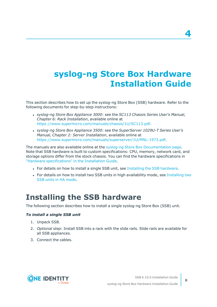## <span id="page-7-0"></span>**syslog-ng Store Box Hardware Installation Guide**

This section describes how to set up the syslog-ng Store Box (SSB) hardware. Refer to the following documents for step-by-step instructions:

- <sup>l</sup> *syslog-ng Store Box Appliance 3000*: see the *SC113 Chassis Series User's Manual, Chapter 6: Rack Installation*, available online at [https://www.supermicro.com/manuals/chassis/1U/SC113.pdf.](https://www.supermicro.com/manuals/chassis/1U/SC113.pdf)
- <sup>l</sup> *syslog-ng Store Box Appliance 3500*: see the *SuperServer 1029U-T Series User's Manual, Chapter 2: Server Installation*, available online at <https://www.supermicro.com/manuals/superserver/1U/MNL-1973.pdf>.

The manuals are also available online at the syslog-ng Store Box [Documentation](https://support.oneidentity.com/syslog-ng-store-box/technical-documents) page. Note that SSB hardware is built to custom specifications: CPU, memory, network card, and storage options differ from the stock chassis. You can find the hardware specifications in "Hardware [specifications"](https://support.oneidentity.com/technical-documents/syslog-ng-store-box/6.10.0/installation-guide/) in the Installation Guide.

- For details on how to install a single SSB unit, see Installing the SSB [hardware.](#page-7-1)
- For details on how to install two SSB units in high availability mode, see [Installing](#page-10-0) two SSB units in HA [mode.](#page-10-0)

### <span id="page-7-1"></span>**Installing the SSB hardware**

The following section describes how to install a single syslog-ng Store Box (SSB) unit.

#### *To install a single SSB unit*

- 1. Unpack SSB.
- 2. *Optional step*: Install SSB into a rack with the slide rails. Slide rails are available for all SSB appliances.
- 3. Connect the cables.



**8**

**4**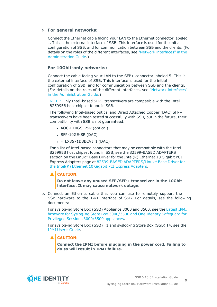#### a. **For general networks:**

Connect the Ethernet cable facing your LAN to the Ethernet connector labeled 1. This is the external interface of SSB. This interface is used for the initial configuration of SSB, and for communication between SSB and the clients. (For details on the roles of the different interfaces, see "Network [interfaces"](https://support.oneidentity.com/technical-documents/syslog-ng-store-box/6.10.0/administration-guide/the-concepts-of-ssb/network-interfaces/) in the [Administration](https://support.oneidentity.com/technical-documents/syslog-ng-store-box/6.10.0/administration-guide/the-concepts-of-ssb/network-interfaces/) Guide.)

#### **For 10Gbit-only networks:**

Connect the cable facing your LAN to the SFP+ connector labeled 5. This is the external interface of SSB. This interface is used for the initial configuration of SSB, and for communication between SSB and the clients. (For details on the roles of the different interfaces, see "Network [interfaces"](https://support.oneidentity.com/technical-documents/syslog-ng-store-box/6.10.0/administration-guide/the-concepts-of-ssb/network-interfaces/) in the [Administration](https://support.oneidentity.com/technical-documents/syslog-ng-store-box/6.10.0/administration-guide/the-concepts-of-ssb/network-interfaces/) Guide.)

NOTE: Only Intel-based SFP+ transceivers are compatible with the Intel 82599EB host chipset found in SSB.

The following Intel-based optical and Direct Attached Copper (DAC) SFP+ transceivers have been tested successfully with SSB, but in the future, their compatibility with SSB is not guaranteed:

- AOC-E10GSFPSR (optical)
- $\cdot$  SFP-10GE-SR (DAC)
- FTLX8571D3BCVIT1 (DAC)

For a list of Intel-based connectors that may be compatible with the Intel 82599EB host chipset found in SSB, see the 82599-BASED ADAPTERS section on the Linux\* Base Driver for the Intel(R) Ethernet 10 Gigabit PCI Express Adapters page at 82599-BASED [ADAPTERS/Linux\\*](https://www.kernel.org/doc/html/v4.20/networking/ixgbe.html) Base Driver for the Intel(R) Ethernet 10 Gigabit PCI Express [Adapters.](https://www.kernel.org/doc/html/v4.20/networking/ixgbe.html)

#### **A** CAUTION:

**Do not leave any unused SFP/SFP+ transceiver in the 10Gbit interface. It may cause network outage.**

b. Connect an Ethernet cable that you can use to remotely support the SSB hardware to the IPMI interface of SSB. For details, see the following documents:

For syslog-ng Store Box (SSB) Appliance 3000 and 3500, see the [Latest](https://support.oneidentity.com/kb/312276/) IPMI firmware for Syslog-ng Store Box [3000/3500](https://support.oneidentity.com/kb/312276/) and One Identity Safeguard for Privileged Sessions [3000/3500](https://support.oneidentity.com/kb/312276/) appliances.

For syslog-ng Store Box (SSB) T1 and syslog-ng Store Box (SSB) T4, see the IPMI [User's](https://www.supermicro.com/manuals/other/IPMI_Users_Guide.pdf) Guide.

#### **A** CAUTION:

**Connect the IPMI before plugging in the power cord. Failing to do so will result in IPMI failure.**

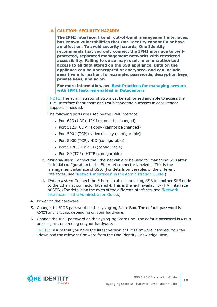### **CAUTION: SECURITY HAZARD!**

**The IPMI interface, like all out-of-band management interfaces, has known vulnerabilities that One Identity cannot fix or have an effect on. To avoid security hazards, One Identity recommends that you only connect the IPMI interface to wellprotected, separated management networks with restricted accessibility. Failing to do so may result in an unauthorized access to all data stored on the SSB appliance. Data on the appliance can be unencrypted or encrypted, and can include sensitive information, for example, passwords, decryption keys, private keys, and so on.**

**For more information, see Best Practices for [managing](https://www.supermicro.com/products/nfo/files/IPMI/Best_Practices_BMC_Security.pdf) servers with IPMI features enabled in [Datacenters](https://www.supermicro.com/products/nfo/files/IPMI/Best_Practices_BMC_Security.pdf).**

NOTE: The administrator of SSB must be authorized and able to access the IPMI interface for support and troubleshooting purposes in case vendor support is needed.

The following ports are used by the IPMI interface:

- Port 623 (UDP): IPMI (cannot be changed)
- Port  $5123$  (UDP): floppy (cannot be changed)
- $\bullet$  Port 5901 (TCP): video display (configurable)
- Port 5900 (TCP): HID (configurable)
- Port 5120 (TCP): CD (configurable)
- Port 80 (TCP): HTTP (configurable)
- c. *Optional step*: Connect the Ethernet cable to be used for managing SSB after its initial configuration to the Ethernet connector labeled 2. This is the management interface of SSB. (For details on the roles of the different interfaces, see "Network interfaces" in the [Administration](https://support.oneidentity.com/technical-documents/syslog-ng-store-box/6.10.0/administration-guide/the-concepts-of-ssb/network-interfaces/) Guide.)
- d. *Optional step*: Connect the Ethernet cable connecting SSB to another SSB node to the Ethernet connector labeled 4. This is the high availability (HA) interface of SSB. (For details on the roles of the different interfaces, see ["Network](https://support.oneidentity.com/technical-documents/syslog-ng-store-box/6.10.0/administration-guide/the-concepts-of-ssb/network-interfaces/) interfaces" in the [Administration](https://support.oneidentity.com/technical-documents/syslog-ng-store-box/6.10.0/administration-guide/the-concepts-of-ssb/network-interfaces/) Guide.)
- 4. Power on the hardware.
- 5. Change the BIOS password on the syslog-ng Store Box. The default password is ADMIN or changeme, depending on your hardware.
- 6. Change the IPMI password on the syslog-ng Store Box. The default password is ADMIN or changeme, depending on your hardware.

NOTE:Ensure that you have the latest version of IPMI firmware installed. You can download the relevant firmware from the One Identity Knowledge Base:



**10**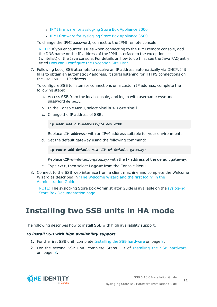- IPMI firmware for [syslog-ng](https://support.oneidentity.com//kb/259247) Store Box Appliance 3000
- IPMI firmware for [syslog-ng](https://support.oneidentity.com//kb/259251) Store Box Appliance 3500

To change the IPMI password, connect to the IPMI remote console.

NOTE: If you encounter issues when connecting to the IPMI remote console, add the DNS name or the IP address of the IPMI interface to the exception list (whitelist) of the Java console. For details on how to do this, see the Java FAQ entry titled How can I configure the [Exception](https://www.java.com/en/download/faq/exception_sitelist.xml) Site List?.

7. Following boot, SSB attempts to receive an IP address automatically via DHCP. If it fails to obtain an automatic IP address, it starts listening for HTTPS connections on the 192.168.1.1 IP address.

To configure SSB to listen for connections on a custom IP address, complete the following steps:

- a. Access SSB from the local console, and log in with username root and password default.
- b. In the Console Menu, select **Shells > Core shell**.
- c. Change the IP address of SSB:

ip addr add <IP-address>/24 dev eth0

Replace <IP-address> with an IPv4 address suitable for your environment.

d. Set the default gateway using the following command:

ip route add default via <IP-of-default-gateway>

Replace <IP-of-default-gateway> with the IP address of the default gateway.

- e. Type exit, then select **Logout** from the Console Menu.
- 8. Connect to the SSB web interface from a client machine and complete the Welcome Wizard as described in "The [Welcome](https://support.oneidentity.com/technical-documents/syslog-ng-store-box/6.10.0/administration-guide/) Wizard and the first login" in the [Administration](https://support.oneidentity.com/technical-documents/syslog-ng-store-box/6.10.0/administration-guide/) Guide.

NOTE: The syslog-ng Store Box Administrator Guide is available on the [syslog-ng](https://support.oneidentity.com/syslog-ng-store-box/technical-documents) Store Box [Documentation](https://support.oneidentity.com/syslog-ng-store-box/technical-documents) page.

### <span id="page-10-0"></span>**Installing two SSB units in HA mode**

The following describes how to install SSB with high availability support.

#### *To install SSB with high availability support*

- 1. For the first SSB unit, complete Installing the SSB [hardware](#page-7-1) on page 8.
- 2. For the second SSB unit, complete Steps 1-3 of Installing the SSB [hardware](#page-7-1) on [page](#page-7-1) 8.

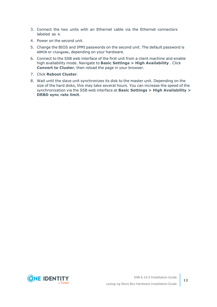- 3. Connect the two units with an Ethernet cable via the Ethernet connectors labeled as 4.
- 4. Power on the second unit.
- 5. Change the BIOS and IPMI passwords on the second unit. The default password is ADMIN or changeme, depending on your hardware.
- 6. Connect to the SSB web interface of the first unit from a client machine and enable high availability mode. Navigate to **Basic Settings > High Availability** . Click **Convert to Cluster**, then reload the page in your browser.
- 7. Click **Reboot Cluster**.
- 8. Wait until the slave unit synchronizes its disk to the master unit. Depending on the size of the hard disks, this may take several hours. You can increase the speed of the synchronization via the SSB web interface at **Basic Settings > High Availability > DRBD sync rate limit**.

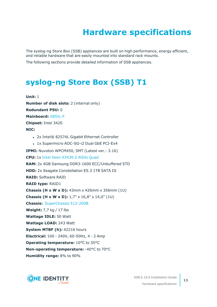## **Hardware specifications**

<span id="page-12-0"></span>The syslog-ng Store Box (SSB) appliances are built on high performance, energy efficient, and reliable hardware that are easily mounted into standard rack mounts.

<span id="page-12-1"></span>The following sections provide detailed information of SSB appliances.

### **[syslog-ng](https://www.supermicro.com/products/system/1u/5016/sys-5016i-mr.cfm) Store Box (SSB) T1**

**Unit:** 1 **Number of disk slots:** 2 (internal only) **Redundant PSU:** 0 **Mainboard:** [X8SIL-F](https://www.supermicro.com/products/motherboard/xeon3000/3400/X8SIL.cfm) **Chipset:** Intel 3420 **NIC:** • 2x Intel® 82574L Gigabit Ethernet Controller • 1x Supermicro AOC-SG-i2 Dual GbE PCI-Ex4 **IPMI:** Nuvoton WPCM450, SMT (Latest ver.: 3.16) **CPU:** 1x Intel Xeon X3430 [2.4GHz](https://ark.intel.com/products/42927) Quad **RAM:** 2x 4GB Samsung DDR3-1600 ECC/Unbuffered STD **HDD:** 2x Seagate Constellation ES.3 1TB SATA III **RAID:** Software RAID **RAID type:** RAID1 **Chassis (H x W x D):** 43mm x 426mm x 356mm (1U) **Chassis (H x W x D):** 1,7" x 16,8" x 14,0" (1U) **Chassis:** [SuperChassis](https://www.supermicro.com/products/chassis/1U/512/SC512-200.cfm) 512-200B **Weight:** 7,7 kg / 17 lbs **Wattage IDLE:** 50 Watt **Wattage LOAD:** 243 Watt **System MTBF (h):** 42216 hours **Electrical:** 100 - 240V, 60-50Hz, 4 - 2 Amp **Operating temperature:** 10°C to 35°C **Non-operating temperature:** -40°C to 70°C **Humidity range:** 8% to 90%

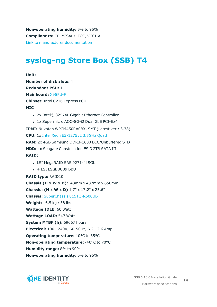**Non-operating humidity:** 5% to 95% **Compliant to:** CE, cCSAus, FCC, VCCI-A Link to manufacturer [documentation](https://www.supermicro.com/products/system/1u/5016/sys-5016i-mr.cfm)

### <span id="page-13-0"></span>**[syslog-ng](https://www.supermicro.com/products/system/1u/5017/sys-5017c-urf.cfm) Store Box (SSB) T4**

**Unit:** 1 **Number of disk slots:** 4 **Redundant PSU:** 1 **Mainboard:** [X9SPU-F](https://www.supermicro.com/products/motherboard/Xeon/C216/X9SPU-F.cfm) **Chipset:** Intel C216 Express PCH **NIC** • 2x Intel® 82574L Gigabit Ethernet Controller • 1x Supermicro AOC-SG-i2 Dual GbE PCI-Ex4 **IPMI:** Nuvoton WPCM450RA0BX, SMT (Latest ver.: 3.38) **CPU:** 1x Intel Xeon [E3-1275v2](https://ark.intel.com/products/65726) 3.5GHz Quad **RAM:** 2x 4GB Samsung DDR3-1600 ECC/Unbuffered STD **HDD:** 4x Seagate Constellation ES.3 2TB SATA III **RAID:** • LSI MegaRAID SAS 9271-4i SGL  $\cdot$  + LSI LSIiBBU09 BBU **RAID type:** RAID10 **Chassis (H x W x D):** 43mm x 437mm x 650mm **Chassis: (H x W x D)** 1,7" x 17,2" x 25,6" **Chassis:** SuperChassis [815TQ-R500UB](https://www.supermicro.com/products/chassis/1U/815/SC815TQ-R500U.cfm) **Weight:** 16,5 kg / 38 lbs **Wattage IDLE:** 60 Watt **Wattage LOAD:** 547 Watt **System MTBF (h):** 69667 hours **Electrical:** 100 - 240V, 60-50Hz, 6.2 - 2.6 Amp **Operating temperature:** 10°C to 35°C **Non-operating temperature:** -40°C to 70°C **Humidity range:** 8% to 90% **Non-operating humidity:** 5% to 95%



Hardware specifications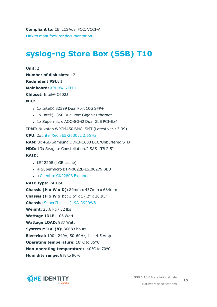### <span id="page-14-0"></span>**[syslog-ng](https://www.supermicro.com/products/system/2u/2027/sys-2027r-72rftp_.cfm) Store Box (SSB) T10**

**Unit:** 2 **Number of disk slots:** 12 **Redundant PSU:** 1 **Mainboard:** [X9DRW-7TPF+](https://www.supermicro.com/products/motherboard/Xeon/C600/X9DRW-7TPF_.cfm) **Chipset:** Intel® C602J **NIC:**

- $\cdot$  1x Intel® 82599 Dual Port 10G SFP+
- 1x Intel® i350 Dual Port Gigabit Ethernet
- 1x Supermicro AOC-SG-i2 Dual GbE PCI-Ex4

**IPMI:** Nuvoton WPCM450 BMC, SMT (Latest ver.: 3.39)

**CPU:** 2x Intel Xeon [E5-2630v2](https://ark.intel.com/products/75790) 2.6GHz

**RAM:** 8x 4GB Samsung DDR3-1600 ECC/Unbuffered STD

**HDD:** 13x Seagate Constellation.2 SAS 1TB 2.5"

#### **RAID:**

- LSI 2208 (1GB cache)
- $\cdot$  + Supermicro BTR-0022L-LSI00279 BBU
- +Chenbro CK22803 [Expander](https://www.chenbro.com/en-global/products/Storage_Expansion_Kit/SAS_Expander_Card/CK22803)

#### **RAID type:** RAID50





Hardware specifications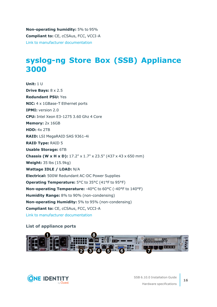**Non-operating humidity:** 5% to 95% **Compliant to:** CE, cCSAus, FCC, VCCI-A Link to manufacturer [documentation](https://www.supermicro.com/products/system/2u/2027/sys-2027r-72rftp_.cfm)

### <span id="page-15-0"></span>**syslog-ng Store Box (SSB) [Appliance](https://www.supermicro.com/en/products/system/1U/5019/SYS-5019S-WR.cfm) [3000](https://www.supermicro.com/en/products/system/1U/5019/SYS-5019S-WR.cfm)**

**Unit:** 1 U **Drive Bays:** 8 x 2.5 **Redundant PSU:** Yes **NIC:** 4 x 1GBase-T Ethernet ports **IPMI:** version 2.0 **CPU:** Intel Xeon E3-1275 3.60 Ghz 4 Core **Memory:** 2x 16GB **HDD:** 4x 2TB **RAID:** LSI MegaRAID SAS 9361-4i **RAID Type:** RAID 5 **Usable Storage:** 6TB **Chassis (W x H x D):** 17.2" x 1.7" x 23.5" (437 x 43 x 650 mm) **Weight:** 35 lbs (15.9kg) **Wattage IDLE / LOAD:** N/A **Electrical:** 500W Redundant AC-DC Power Supplies **Operating Temperature:** 5°C to 35°C (41°F to 95°F) **Non-operating Temperature:** -40°C to 60°C (-40°F to 140°F) **Humidity Range:** 8% to 90% (non-condensing) **Non-operating Humidity:** 5% to 95% (non-condensing) **Compliant to:** CE, cCSAus, FCC, VCCI-A Link to manufacturer [documentation](https://www.supermicro.com/en/products/system/1U/5019/SYS-5019S-WR.cfm)

#### **List of appliance ports**



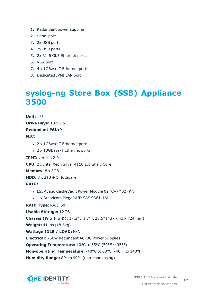- 1. Redundant power supplies
- 2. Serial port
- 3. 2x USB ports
- 4. 2x USB ports
- 5. 2x RJ45 GbE Ethernet ports
- 6. VGA port
- 7. 4 x 1GBase-T Ethernet ports
- <span id="page-16-0"></span>8. Dedicated IPMI LAN port

### **syslog-ng Store Box (SSB) [Appliance](https://www.supermicro.com/en/products/system/1U/1029/SYS-1029U-TRT.cfm) [3500](https://www.supermicro.com/en/products/system/1U/1029/SYS-1029U-TRT.cfm)**

**Unit:** 1 U **Drive Bays:** 10 x 2.5 **Redundant PSU:** Yes **NIC:** • 2 x 1GBase-T Ethernet ports • 2 x 10GBase-T Ethernet ports **IPMI:** version 2.0 **CPU:** 2 x Intel Xeon Silver 4110 2.1 Ghz 8 Core **Memory:** 8 x 8GB **HDD:** 8 x 2TB + 1 HotSpare **RAID:** • LSI Avago CacheVault Power Module 02 (CVPM02) Kit <sup>l</sup> 1 x Broadcom MegaRAID SAS 9361-16i + **RAID Type:** RAID 50 **Usable Storage:** 12 TB **Chassis (W x H x D):** 17.2" x 1.7" x 28.5" (437 x 43 x 724 mm) **Weight:** 41 lbs (18.6kg) **Wattage IDLE / LOAD:** N/A **Electrical:** 750W Redundant AC-DC Power Supplies **Operating Temperature:**  $10^{\circ}$ C to  $35^{\circ}$ C (50 $^{\circ}$ F ~ 95 $^{\circ}$ F) **Non-operating Temperature:** -40°C to 60°C (-40°F to 140°F) **Humidity Range:** 8% to 90% (non-condensing)

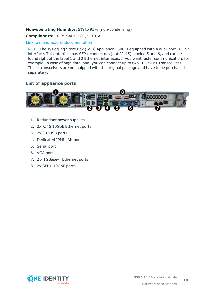#### **Non-operating Humidity:** 5% to 95% (non-condensing)

#### **Compliant to:** CE, cCSAus, FCC, VCCI-A

#### Link to manufacturer [documentation](https://www.supermicro.com/en/products/system/1U/1029/SYS-1029U-TRT.cfm)

NOTE:The syslog-ng Store Box (SSB) Appliance 3500 is equipped with a dual-port 10Gbit interface. This interface has SFP+ connectors (not RJ-45) labeled 5 and 6, and can be found right of the label 1 and 2 Ethernet interfaces. If you want faster communication, for example, in case of high data load, you can connect up to two 10G SFP+ transceivers. These transceivers are not shipped with the original package and have to be purchased separately.

#### **List of appliance ports**



- 1. Redundant power supplies
- 2. 2x RJ45 10GbE Ethernet ports
- 3. 2x 3.0 USB ports
- 4. Dedicated IPMI LAN port
- 5. Serial port
- 6. VGA port
- 7. 2 x 1GBase-T Ethernet ports
- 8. 2x SFP+ 10GbE ports



Hardware specifications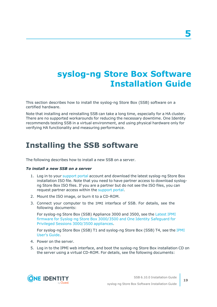## <span id="page-18-0"></span>**syslog-ng Store Box Software Installation Guide**

This section describes how to install the syslog-ng Store Box (SSB) software on a certified hardware.

Note that installing and reinstalling SSB can take a long time, especially for a HA cluster. There are no supported workarounds for reducing the necessary downtime. One Identity recommends testing SSB in a virtual environment, and using physical hardware only for verifying HA functionality and measuring performance.

### <span id="page-18-1"></span>**Installing the SSB software**

The following describes how to install a new SSB on a server.

#### *To install a new SSB on a server*

- 1. Log in to your [support](https://support.oneidentity.com/en-US/Login) portal account and download the latest syslog-ng Store Box installation ISO file. Note that you need to have partner access to download syslogng Store Box ISO files. If you are a partner but do not see the ISO files, you can request partner access within the [support](https://support.oneidentity.com/en-US/Login) portal.
- 2. Mount the ISO image, or burn it to a CD-ROM.
- 3. Connect your computer to the IPMI interface of SSB. For details, see the following documents:

For syslog-ng Store Box (SSB) Appliance 3000 and 3500, see the [Latest](https://support.oneidentity.com/kb/312276/) IPMI firmware for Syslog-ng Store Box [3000/3500](https://support.oneidentity.com/kb/312276/) and One Identity Safeguard for Privileged Sessions [3000/3500](https://support.oneidentity.com/kb/312276/) appliances.

For syslog-ng Store Box (SSB) T1 and syslog-ng Store Box (SSB) T4, see the [IPMI](https://www.supermicro.com/manuals/other/IPMI_Users_Guide.pdf) [User's](https://www.supermicro.com/manuals/other/IPMI_Users_Guide.pdf) Guide.

- 4. Power on the server.
- 5. Log in to the IPMI web interface, and boot the syslog-ng Store Box installation CD on the server using a virtual CD-ROM. For details, see the following documents:

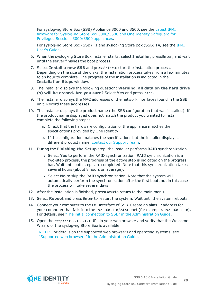For syslog-ng Store Box (SSB) Appliance 3000 and 3500, see the [Latest](https://support.oneidentity.com/kb/312276/) IPMI firmware for Syslog-ng Store Box [3000/3500](https://support.oneidentity.com/kb/312276/) and One Identity Safeguard for Privileged Sessions [3000/3500](https://support.oneidentity.com/kb/312276/) appliances.

For syslog-ng Store Box (SSB) T1 and syslog-ng Store Box (SSB) T4, see the [IPMI](https://www.supermicro.com/manuals/other/IPMI_Users_Guide.pdf) [User's](https://www.supermicro.com/manuals/other/IPMI_Users_Guide.pdf) Guide.

- 6. When the syslog-ng Store Box installer starts, select **Installer**, pressEnter, and wait until the server finishes the boot process.
- 7. Select **Install a new SSB** and pressEnterto start the installation process. Depending on the size of the disks, the installation process takes from a few minutes to an hour to complete. The progress of the installation is indicated in the **Installation Steps** window.
- 8. The installer displays the following question: **Warning, all data on the hard drive (s) will be erased. Are you sure?** Select **Yes** and pressEnter.
- 9. The installer displays the MAC addresses of the network interfaces found in the SSB unit. Record these addresses.
- 10. The installer displays the product name (the SSB configuration that was installed). If the product name displayed does not match the product you wanted to install, complete the following steps:
	- a. Check that the hardware configuration of the appliance matches the specifications provided by One Identity.
	- b. If the configuration matches the specifications but the installer displays a different product name, contact our [Support](https://support.oneidentity.com/syslog-ng-store-box/) Team.
- 11. During the **Finishing the Setup** step, the installer performs RAID synchronization.
	- <sup>l</sup> Select **Yes** to perform the RAID synchronization. RAID synchronization is a two-step process, the progress of the active step is indicated on the progress bar. Wait until both steps are completed. Note that this synchronization takes several hours (about 8 hours on average).
	- <sup>l</sup> Select **No** to skip the RAID synchronization. Note that the system will automatically perform the synchronization after the first boot, but in this case the process will take several days.
- 12. After the installation is finished, pressEnterto return to the main menu.
- 13. Select **Reboot** and press Enter to restart the system. Wait until the system reboots.
- 14. Connect your computer to the EXT interface of SSB. Create an alias IP address for your computer that falls into the 192.168.1.0/24 subnet (for example, 192.168.1.10). For details, see "The initial connection to SSB" in the [Administration](https://support.oneidentity.com/technical-documents/syslog-ng-store-box/6.10.0/administration-guide/the-welcome-wizard-and-the-first-login/the-initial-connection-to-ssb/) Guide.
- 15. Open the http://192.168.1.1 URL in your web browser and verify that the Welcome Wizard of the syslog-ng Store Box is available.

NOTE: For details on the supported web browsers and operating systems, see "Supported web browsers" in the [Administration](https://support.oneidentity.com/technical-documents/syslog-ng-store-box/6.10.0/administration-guide/basic-settings/supported-web-browsers/) Guide.

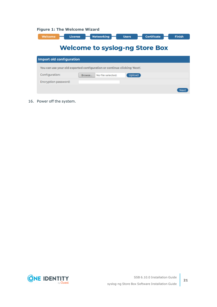|  |  |  | <b>Figure 1: The Welcome Wizard</b> |  |
|--|--|--|-------------------------------------|--|
|--|--|--|-------------------------------------|--|

| Welcome<br>License                    | <b>Networking</b><br><b>Users</b>                                        | <b>Certificate</b><br><b>Finish</b> |  |  |  |  |  |
|---------------------------------------|--------------------------------------------------------------------------|-------------------------------------|--|--|--|--|--|
| <b>Welcome to syslog-ng Store Box</b> |                                                                          |                                     |  |  |  |  |  |
| Import old configuration              |                                                                          |                                     |  |  |  |  |  |
|                                       | You can use your old exported configuration or continue clicking 'Next'. |                                     |  |  |  |  |  |
| Configuration:                        | <b>Upload</b><br>No file selected.<br>Browse                             |                                     |  |  |  |  |  |
| Encryption password:                  |                                                                          |                                     |  |  |  |  |  |
|                                       |                                                                          | Nex                                 |  |  |  |  |  |

16. Power off the system.

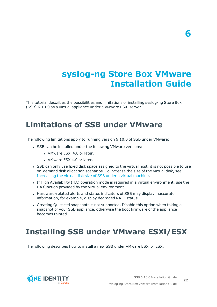## <span id="page-21-0"></span>**syslog-ng Store Box VMware Installation Guide**

This tutorial describes the possibilities and limitations of installing syslog-ng Store Box (SSB) 6.10.0 as a virtual appliance under a VMware ESXi server.

### <span id="page-21-1"></span>**Limitations of SSB under VMware**

The following limitations apply to running version 6.10.0 of SSB under VMware:

- SSB can be installed under the following VMware versions:
	- VMware ESXi 4.0 or later.
	- VMware ESX 4.0 or later.
- SSB can only use fixed disk space assigned to the virtual host, it is not possible to use on-demand disk allocation scenarios. To increase the size of the virtual disk, see [Increasing](#page-27-0) the virtual disk size of SSB under a virtual machine.
- If High Availability (HA) operation mode is required in a virtual environment, use the HA function provided by the virtual environment.
- Hardware-related alerts and status indicators of SSB may display inaccurate information, for example, display degraded RAID status.
- Creating Quiesced snapshots is not supported. Disable this option when taking a snapshot of your SSB appliance, otherwise the boot firmware of the appliance becomes tainted.

### <span id="page-21-2"></span>**Installing SSB under VMware ESXi/ESX**

The following describes how to install a new SSB under VMware ESXi or ESX.

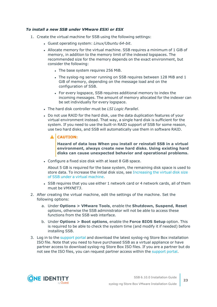#### *To install a new SSB under VMware ESXi or ESX*

- 1. Create the virtual machine for SSB using the following settings:
	- <sup>l</sup> Guest operating system: *Linux/Ubuntu 64-bit*.
	- Allocate memory for the virtual machine. SSB requires a minimum of 1 GiB of memory, in addition to the memory limit of the indexed logspaces. The recommended size for the memory depends on the exact environment, but consider the following:
		- The base system requires 256 MiB.
		- The syslog-ng server running on SSB requires between 128 MiB and 1 GiB of memory, depending on the message load and on the configuration of SSB.
		- For every logspace, SSB requires additional memory to index the incoming messages. The amount of memory allocated for the indexer can be set individually for every logspace.
	- <sup>l</sup> The hard disk controller must be *LSI Logic Parallel*.
	- Do not use RAID for the hard disk, use the data duplication features of your virtual environment instead. That way, a single hard disk is sufficient for the system. If you need to use the built-in RAID support of SSB for some reason, use two hard disks, and SSB will automatically use them in software RAID.

#### **CAUTION:**

**Hazard of data loss When you install or reinstall SSB in a virtual environment, always create new hard disks. Using existing hard disks can cause unexpected behavior and operational problems.**

• Configure a fixed size disk with at least 8 GiB space.

About 5 GB is required for the base system, the remaining disk space is used to store data. To increase the initial disk size, see [Increasing](#page-27-0) the virtual disk size of SSB under a virtual [machine](#page-27-0).

- SSB requires that you use either 1 network card or 4 network cards, all of them must be *VMXNET3*.
- 2. After creating the virtual machine, edit the settings of the machine. Set the following options:
	- a. Under **Options > VMware Tools**, enable the **Shutdown, Suspend, Reset** options, otherwise the SSB administrator will not be able to access these functions from the SSB web interface.
	- b. Under **Options > Boot options**, enable the **Force BIOS Setup** option. This is required to be able to check the system time (and modify it if needed) before installing SSB.
- 3. Log in to the [support](https://support.oneidentity.com/en-US/Login) portal and download the latest syslog-ng Store Box installation ISO file. Note that you need to have purchased SSB as a virtual appliance or have partner access to download syslog-ng Store Box ISO files. If you are a partner but do not see the ISO files, you can request partner access within the [support](https://support.oneidentity.com/en-US/Login) portal.

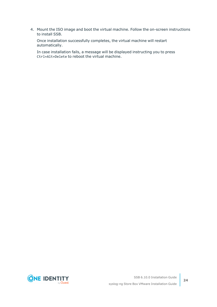4. Mount the ISO image and boot the virtual machine. Follow the on-screen instructions to install SSB.

Once installation successfully completes, the virtual machine will restart automatically.

In case installation fails, a message will be displayed instructing you to press Ctrl+Alt+Delete to reboot the virtual machine.

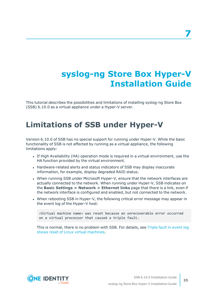## <span id="page-24-0"></span>**syslog-ng Store Box Hyper-V Installation Guide**

This tutorial describes the possibilities and limitations of installing syslog-ng Store Box (SSB) 6.10.0 as a virtual appliance under a Hyper-V server.

### <span id="page-24-1"></span>**Limitations of SSB under Hyper-V**

Version 6.10.0 of SSB has no special support for running under Hyper-V. While the basic functionality of SSB is not affected by running as a virtual appliance, the following limitations apply:

- If High Availability (HA) operation mode is required in a virtual environment, use the HA function provided by the virtual environment.
- Hardware-related alerts and status indicators of SSB may display inaccurate information, for example, display degraded RAID status.
- When running SSB under Microsoft Hyper-V, ensure that the network interfaces are actually connected to the network. When running under Hyper-V, SSB indicates on the **Basic Settings > Network > Ethernet links** page that there is a link, even if the network interface is configured and enabled, but not connected to the network.
- When rebooting SSB in Hyper-V, the following critical error message may appear in the event log of the Hyper-V host:

<Virtual machine name> was reset because an unrecoverable error occurred on a virtual processor that caused a triple fault.

This is normal, there is no problem with SSB. For details, see Triple fault in [event](https://support.microsoft.com/en-us/help/2711608/triple-fault-in-event-log-shows-reset-of-linux-virtual-machines) log shows reset of Linux virtual [machines](https://support.microsoft.com/en-us/help/2711608/triple-fault-in-event-log-shows-reset-of-linux-virtual-machines).



**25**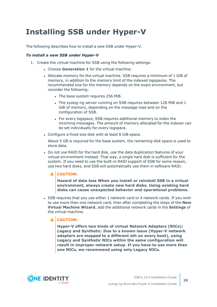## <span id="page-25-0"></span>**Installing SSB under Hyper-V**

The following describes how to install a new SSB under Hyper-V.

#### *To install a new SSB under Hyper-V*

- 1. Create the virtual machine for SSB using the following settings:
	- **.** Choose Generation 1 for the virtual machine.
	- Allocate memory for the virtual machine. SSB requires a minimum of 1 GiB of memory, in addition to the memory limit of the indexed logspaces. The recommended size for the memory depends on the exact environment, but consider the following:
		- The base system requires 256 MiB.
		- The syslog-ng server running on SSB requires between 128 MiB and 1 GiB of memory, depending on the message load and on the configuration of SSB.
		- For every logspace, SSB requires additional memory to index the incoming messages. The amount of memory allocated for the indexer can be set individually for every logspace.
	- Configure a fixed size disk with at least 8 GiB space.

About 5 GB is required for the base system, the remaining disk space is used to store data.

• Do not use RAID for the hard disk, use the data duplication features of your virtual environment instead. That way, a single hard disk is sufficient for the system. If you need to use the built-in RAID support of SSB for some reason, use two hard disks, and SSB will automatically use them in software RAID.

#### **CAUTION:**

**Hazard of data loss When you install or reinstall SSB in a virtual environment, always create new hard disks. Using existing hard disks can cause unexpected behavior and operational problems.**

• SSB requires that you use either 1 network card or 4 network cards. If you wish to use more than one network card, then after completing the steps of the **New Virtual Machine Wizard**, add the additional network cards in the **Settings** of the virtual machine.

#### $\blacktriangle$ **CAUTION:**

**Hyper-V offers two kinds of virtual Network Adapters (NICs): Legacy and Synthetic. Due to a known issue (Hyper-V network adapters are mapped to a different eth on every boot), using Legacy and Synthetic NICs within the same configuration will result in improper network setup. If you have to use more than one NICs, we recommend using only Legacy NICs.**

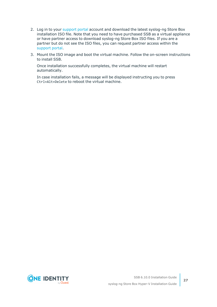- 2. Log in to your [support](https://support.oneidentity.com/en-US/Login) portal account and download the latest syslog-ng Store Box installation ISO file. Note that you need to have purchased SSB as a virtual appliance or have partner access to download syslog-ng Store Box ISO files. If you are a partner but do not see the ISO files, you can request partner access within the [support](https://support.oneidentity.com/en-US/Login) portal.
- 3. Mount the ISO image and boot the virtual machine. Follow the on-screen instructions to install SSB.

Once installation successfully completes, the virtual machine will restart automatically.

In case installation fails, a message will be displayed instructing you to press Ctrl+Alt+Delete to reboot the virtual machine.

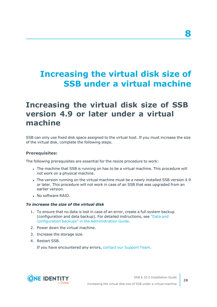## <span id="page-27-0"></span>**Increasing the virtual disk size of SSB under a virtual machine**

### <span id="page-27-1"></span>**Increasing the virtual disk size of SSB version 4.9 or later under a virtual machine**

SSB can only use fixed disk space assigned to the virtual host. If you must increase the size of the virtual disk, complete the following steps.

#### **Prerequisites:**

The following prerequisites are essential for the resize procedure to work:

- The machine that SSB is running on has to be a virtual machine. This procedure will not work on a physical machine.
- The version running on the virtual machine must be a newly installed SSB version 4.9 or later. This procedure will not work in case of an SSB that was upgraded from an earlier version.
- . No software RAID.

#### *To increase the size of the virtual disk*

- 1. To ensure that no data is lost in case of an error, create a full system backup (configuration and data backup). For detailed instructions, see ["Data](https://support.oneidentity.com/technical-documents/syslog-ng-store-box/6.10.0/administration-guide/basic-settings/data-and-configuration-backups/) and configuration backups" in the [Administration](https://support.oneidentity.com/technical-documents/syslog-ng-store-box/6.10.0/administration-guide/basic-settings/data-and-configuration-backups/) Guide.
- 2. Power down the virtual machine.
- 3. Increase the storage size.
- 4. Restart SSB.

If you have encountered any errors, contact our [Support](https://support.oneidentity.com/syslog-ng-store-box/) Team.



SSB 6.10.0 Installation Guide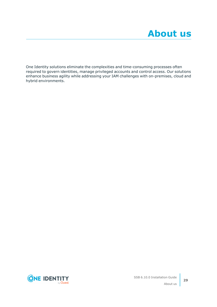<span id="page-28-0"></span>One Identity solutions eliminate the complexities and time-consuming processes often required to govern identities, manage privileged accounts and control access. Our solutions enhance business agility while addressing your IAM challenges with on-premises, cloud and hybrid environments.

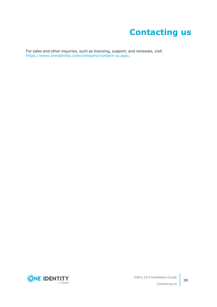## **Contacting us**

<span id="page-29-0"></span>For sales and other inquiries, such as licensing, support, and renewals, visit [https://www.oneidentity.com/company/contact-us.aspx.](https://www.oneidentity.com/company/contact-us.aspx)

**ONE IDENTITY** by **Quest**